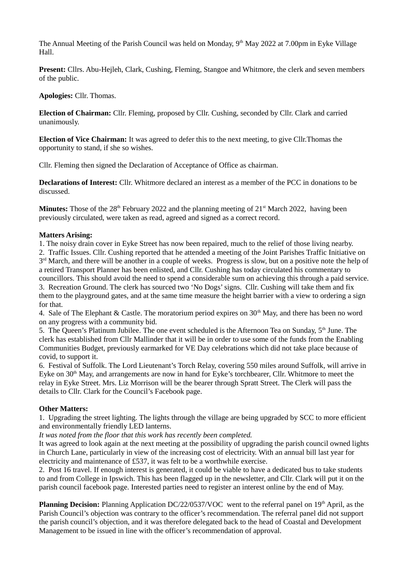The Annual Meeting of the Parish Council was held on Monday, 9<sup>th</sup> May 2022 at 7.00pm in Eyke Village Hall.

**Present:** Cllrs. Abu-Hejleh, Clark, Cushing, Fleming, Stangoe and Whitmore, the clerk and seven members of the public.

**Apologies:** Cllr. Thomas.

**Election of Chairman:** Cllr. Fleming, proposed by Cllr. Cushing, seconded by Cllr. Clark and carried unanimously.

**Election of Vice Chairman:** It was agreed to defer this to the next meeting, to give Cllr.Thomas the opportunity to stand, if she so wishes.

Cllr. Fleming then signed the Declaration of Acceptance of Office as chairman.

**Declarations of Interest:** Cllr. Whitmore declared an interest as a member of the PCC in donations to be discussed.

**Minutes:** Those of the 28<sup>th</sup> February 2022 and the planning meeting of 21<sup>st</sup> March 2022, having been previously circulated, were taken as read, agreed and signed as a correct record.

## **Matters Arising:**

1. The noisy drain cover in Eyke Street has now been repaired, much to the relief of those living nearby.

2. Traffic Issues. Cllr. Cushing reported that he attended a meeting of the Joint Parishes Traffic Initiative on 3<sup>rd</sup> March, and there will be another in a couple of weeks. Progress is slow, but on a positive note the help of a retired Transport Planner has been enlisted, and Cllr. Cushing has today circulated his commentary to councillors. This should avoid the need to spend a considerable sum on achieving this through a paid service. 3. Recreation Ground. The clerk has sourced two 'No Dogs' signs. Cllr. Cushing will take them and fix them to the playground gates, and at the same time measure the height barrier with a view to ordering a sign for that.

4. Sale of The Elephant & Castle. The moratorium period expires on  $30<sup>th</sup>$  May, and there has been no word on any progress with a community bid.

5. The Queen's Platinum Jubilee. The one event scheduled is the Afternoon Tea on Sunday, 5<sup>th</sup> June. The clerk has established from Cllr Mallinder that it will be in order to use some of the funds from the Enabling Communities Budget, previously earmarked for VE Day celebrations which did not take place because of covid, to support it.

6. Festival of Suffolk. The Lord Lieutenant's Torch Relay, covering 550 miles around Suffolk, will arrive in Eyke on 30<sup>th</sup> May, and arrangements are now in hand for Eyke's torchbearer, Cllr. Whitmore to meet the relay in Eyke Street. Mrs. Liz Morrison will be the bearer through Spratt Street. The Clerk will pass the details to Cllr. Clark for the Council's Facebook page.

## **Other Matters:**

1. Upgrading the street lighting. The lights through the village are being upgraded by SCC to more efficient and environmentally friendly LED lanterns.

*It was noted from the floor that this work has recently been completed.*

It was agreed to look again at the next meeting at the possibility of upgrading the parish council owned lights in Church Lane, particularly in view of the increasing cost of electricity. With an annual bill last year for electricity and maintenance of £537, it was felt to be a worthwhile exercise.

2. Post 16 travel. If enough interest is generated, it could be viable to have a dedicated bus to take students to and from College in Ipswich. This has been flagged up in the newsletter, and Cllr. Clark will put it on the parish council facebook page. Interested parties need to register an interest online by the end of May.

**Planning Decision:** Planning Application DC/22/0537/VOC went to the referral panel on 19<sup>th</sup> April, as the Parish Council's objection was contrary to the officer's recommendation. The referral panel did not support the parish council's objection, and it was therefore delegated back to the head of Coastal and Development Management to be issued in line with the officer's recommendation of approval.